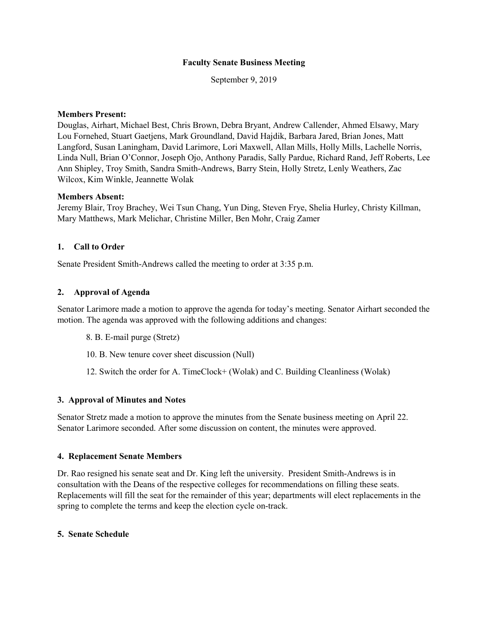### **Faculty Senate Business Meeting**

September 9, 2019

### **Members Present:**

Douglas, Airhart, Michael Best, Chris Brown, Debra Bryant, Andrew Callender, Ahmed Elsawy, Mary Lou Fornehed, Stuart Gaetjens, Mark Groundland, David Hajdik, Barbara Jared, Brian Jones, Matt Langford, Susan Laningham, David Larimore, Lori Maxwell, Allan Mills, Holly Mills, Lachelle Norris, Linda Null, Brian O'Connor, Joseph Ojo, Anthony Paradis, Sally Pardue, Richard Rand, Jeff Roberts, Lee Ann Shipley, Troy Smith, Sandra Smith-Andrews, Barry Stein, Holly Stretz, Lenly Weathers, Zac Wilcox, Kim Winkle, Jeannette Wolak

#### **Members Absent:**

Jeremy Blair, Troy Brachey, Wei Tsun Chang, Yun Ding, Steven Frye, Shelia Hurley, Christy Killman, Mary Matthews, Mark Melichar, Christine Miller, Ben Mohr, Craig Zamer

# **1. Call to Order**

Senate President Smith-Andrews called the meeting to order at 3:35 p.m.

### **2. Approval of Agenda**

Senator Larimore made a motion to approve the agenda for today's meeting. Senator Airhart seconded the motion. The agenda was approved with the following additions and changes:

- 8. B. E-mail purge (Stretz)
- 10. B. New tenure cover sheet discussion (Null)
- 12. Switch the order for A. TimeClock+ (Wolak) and C. Building Cleanliness (Wolak)

#### **3. Approval of Minutes and Notes**

Senator Stretz made a motion to approve the minutes from the Senate business meeting on April 22. Senator Larimore seconded. After some discussion on content, the minutes were approved.

#### **4. Replacement Senate Members**

Dr. Rao resigned his senate seat and Dr. King left the university. President Smith-Andrews is in consultation with the Deans of the respective colleges for recommendations on filling these seats. Replacements will fill the seat for the remainder of this year; departments will elect replacements in the spring to complete the terms and keep the election cycle on-track.

#### **5. Senate Schedule**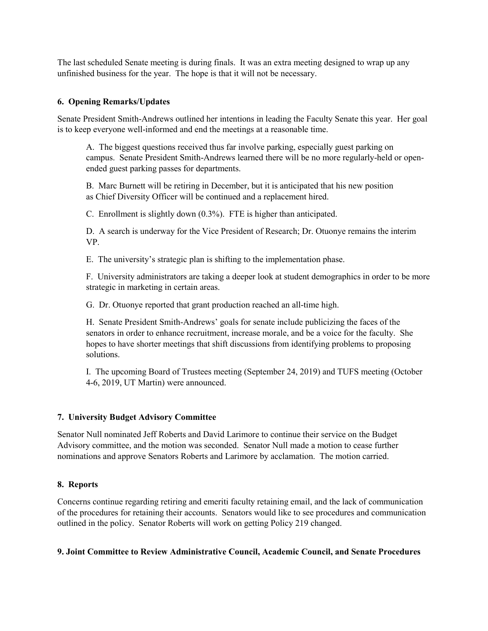The last scheduled Senate meeting is during finals. It was an extra meeting designed to wrap up any unfinished business for the year. The hope is that it will not be necessary.

## **6. Opening Remarks/Updates**

Senate President Smith-Andrews outlined her intentions in leading the Faculty Senate this year. Her goal is to keep everyone well-informed and end the meetings at a reasonable time.

A. The biggest questions received thus far involve parking, especially guest parking on campus. Senate President Smith-Andrews learned there will be no more regularly-held or openended guest parking passes for departments.

B. Marc Burnett will be retiring in December, but it is anticipated that his new position as Chief Diversity Officer will be continued and a replacement hired.

C. Enrollment is slightly down (0.3%). FTE is higher than anticipated.

D. A search is underway for the Vice President of Research; Dr. Otuonye remains the interim VP.

E. The university's strategic plan is shifting to the implementation phase.

F. University administrators are taking a deeper look at student demographics in order to be more strategic in marketing in certain areas.

G. Dr. Otuonye reported that grant production reached an all-time high.

H. Senate President Smith-Andrews' goals for senate include publicizing the faces of the senators in order to enhance recruitment, increase morale, and be a voice for the faculty. She hopes to have shorter meetings that shift discussions from identifying problems to proposing solutions.

I. The upcoming Board of Trustees meeting (September 24, 2019) and TUFS meeting (October 4-6, 2019, UT Martin) were announced.

### **7. University Budget Advisory Committee**

Senator Null nominated Jeff Roberts and David Larimore to continue their service on the Budget Advisory committee, and the motion was seconded. Senator Null made a motion to cease further nominations and approve Senators Roberts and Larimore by acclamation. The motion carried.

### **8. Reports**

Concerns continue regarding retiring and emeriti faculty retaining email, and the lack of communication of the procedures for retaining their accounts. Senators would like to see procedures and communication outlined in the policy. Senator Roberts will work on getting Policy 219 changed.

## **9. Joint Committee to Review Administrative Council, Academic Council, and Senate Procedures**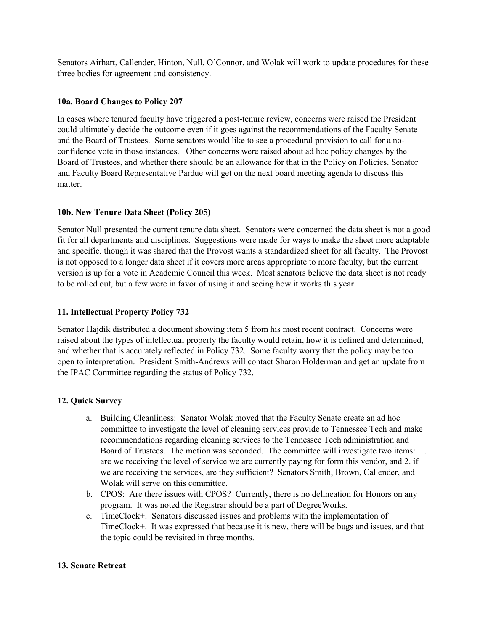Senators Airhart, Callender, Hinton, Null, O'Connor, and Wolak will work to update procedures for these three bodies for agreement and consistency.

## **10a. Board Changes to Policy 207**

In cases where tenured faculty have triggered a post-tenure review, concerns were raised the President could ultimately decide the outcome even if it goes against the recommendations of the Faculty Senate and the Board of Trustees. Some senators would like to see a procedural provision to call for a noconfidence vote in those instances. Other concerns were raised about ad hoc policy changes by the Board of Trustees, and whether there should be an allowance for that in the Policy on Policies. Senator and Faculty Board Representative Pardue will get on the next board meeting agenda to discuss this matter.

# **10b. New Tenure Data Sheet (Policy 205)**

Senator Null presented the current tenure data sheet. Senators were concerned the data sheet is not a good fit for all departments and disciplines. Suggestions were made for ways to make the sheet more adaptable and specific, though it was shared that the Provost wants a standardized sheet for all faculty. The Provost is not opposed to a longer data sheet if it covers more areas appropriate to more faculty, but the current version is up for a vote in Academic Council this week. Most senators believe the data sheet is not ready to be rolled out, but a few were in favor of using it and seeing how it works this year.

# **11. Intellectual Property Policy 732**

Senator Hajdik distributed a document showing item 5 from his most recent contract. Concerns were raised about the types of intellectual property the faculty would retain, how it is defined and determined, and whether that is accurately reflected in Policy 732. Some faculty worry that the policy may be too open to interpretation. President Smith-Andrews will contact Sharon Holderman and get an update from the IPAC Committee regarding the status of Policy 732.

# **12. Quick Survey**

- a. Building Cleanliness: Senator Wolak moved that the Faculty Senate create an ad hoc committee to investigate the level of cleaning services provide to Tennessee Tech and make recommendations regarding cleaning services to the Tennessee Tech administration and Board of Trustees. The motion was seconded. The committee will investigate two items: 1. are we receiving the level of service we are currently paying for form this vendor, and 2. if we are receiving the services, are they sufficient? Senators Smith, Brown, Callender, and Wolak will serve on this committee.
- b. CPOS: Are there issues with CPOS? Currently, there is no delineation for Honors on any program. It was noted the Registrar should be a part of DegreeWorks.
- c. TimeClock+: Senators discussed issues and problems with the implementation of TimeClock+. It was expressed that because it is new, there will be bugs and issues, and that the topic could be revisited in three months.

### **13. Senate Retreat**